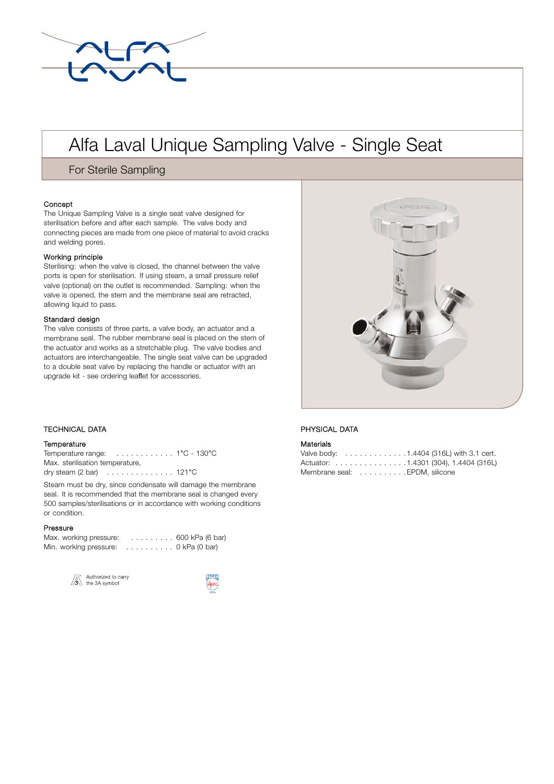

# Alfa Laval Unique Sampling Valve - Single Seat

For Sterile Sampling

## **Concept**

The Unique Sampling Valve is a single seat valve designed for sterilisation before and after each sample. The valve body and connecting pieces are made from one piece of material to avoid cracks and welding pores.

## Working principle

Sterilising: when the valve is closed, the channel between the valve ports is open for sterilisation. If using steam, a small pressure relief valve (optional) on the outlet is recommended. Sampling: when the valve is opened, the stem and the membrane seal are retracted, allowing liquid to pass.

#### Standard design

The valve consists of three parts, a valve body, an actuator and a membrane seal. The rubber membrane seal is placed on the stem of the actuator and works as a stretchable plug. The valve bodies and actuators are interchangeable. The single seat valve can be upgraded to a double seat valve by replacing the handle or actuator with an upgrade kit - see ordering leaflet for accessories.

# . TECHNICAL DATA

#### **Temperature**

Temperature range: . . . . . . . . . . . . 1°C - 130°C Max. sterilisation temperature, dry steam (2 bar) . . . . . . . . . . . . . . 121°C

Steam must be dry, since condensate will damage the membrane seal. It is recommended that the membrane seal is changed every 500 samples/sterilisations or in accordance with working conditions or condition.

#### Pressure

| Max. working pressure: |                 | $\ldots \ldots \ldots 600$ kPa (6 bar) |
|------------------------|-----------------|----------------------------------------|
| Min. working pressure: | . 0 kPa (0 bar) |                                        |







## PHYSICAL DATA

#### Materials

|                               |  |  |  |  |  | Valve body: 1.4404 (316L) with 3.1 cert. |
|-------------------------------|--|--|--|--|--|------------------------------------------|
|                               |  |  |  |  |  | Actuator: 1.4301 (304), 1.4404 (316L)    |
| Membrane seal: EPDM, silicone |  |  |  |  |  |                                          |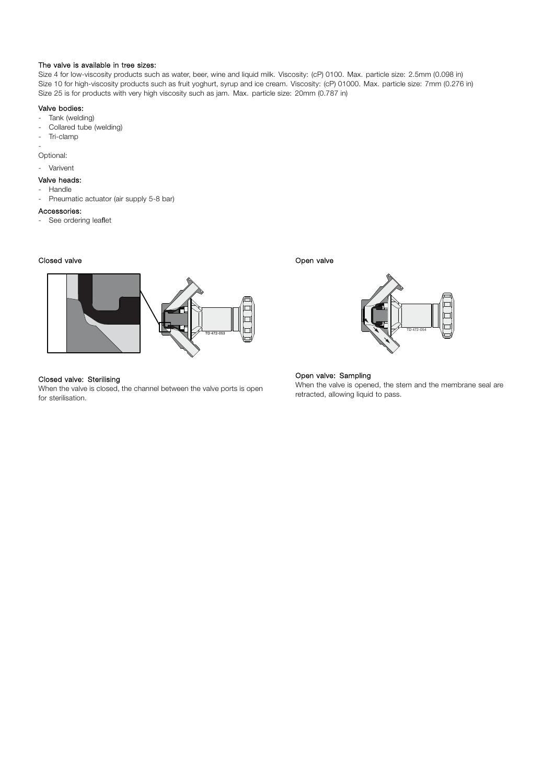#### The valve is available in tree sizes:

Size 4 for low-viscosity products such as water, beer, wine and liquid milk. Viscosity: (cP) 0100. Max. particle size: 2.5mm (0.098 in) Size 10 for high-viscosity products such as fruit yoghurt, syrup and ice cream. Viscosity: (cP) 01000. Max. particle size: 7mm (0.276 in) Size 25 is for products with very high viscosity such as jam. Max. particle size: 20mm (0.787 in)

# Valve bodies:

- Tank (welding)
- Collared tube (welding)
- Tri-clamp

- Optional:

- Varivent

## Valve heads:

- Handle
- Pneumatic actuator (air supply 5-8 bar)

#### Accessories:

- See ordering leaflet

# Closed valve



# Closed valve: Sterilising

When the valve is closed, the channel between the valve ports is open for sterilisation.

Open valve



### Open valve: Sampling

When the valve is opened, the stem and the membrane seal are retracted, allowing liquid to pass.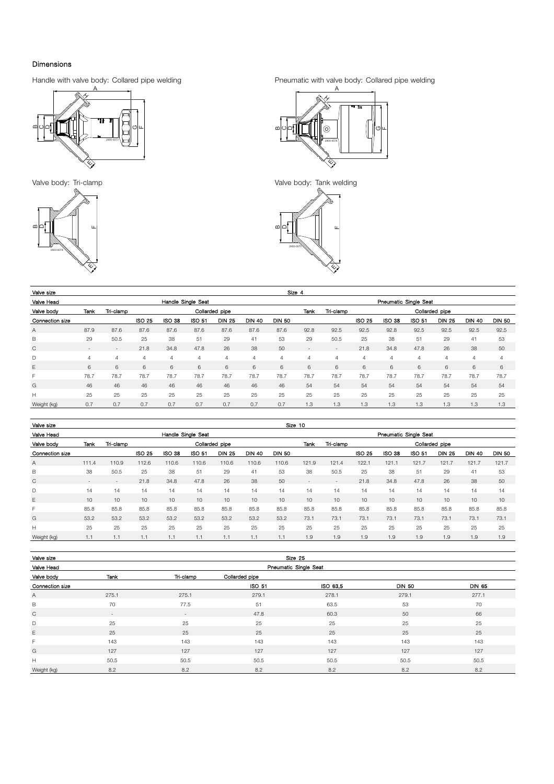# Dimensions

Handle with valve body: Collared pipe welding





Pneumatic with valve body: Collared pipe welding



Valve body: Tri-clamp Valve body: Tank welding



| Valve size      | Size 4             |                          |               |               |        |                |                |               |                          |                |        |               |        |                |                |               |  |  |  |
|-----------------|--------------------|--------------------------|---------------|---------------|--------|----------------|----------------|---------------|--------------------------|----------------|--------|---------------|--------|----------------|----------------|---------------|--|--|--|
| Valve Head      | Handle Single Seat |                          |               |               |        |                |                |               | Pneumatic Single Seat    |                |        |               |        |                |                |               |  |  |  |
| Valve body      | Tank               | Tri-clamp                |               |               |        | Collarded pipe |                |               | Tank                     | Tri-clamp      |        |               |        | Collarded pipe |                |               |  |  |  |
| Connection size |                    |                          | <b>ISO 25</b> | <b>ISO 38</b> | ISO 51 | <b>DIN 25</b>  | <b>DIN 40</b>  | <b>DIN 50</b> |                          |                | ISO 25 | <b>ISO 38</b> | ISO 51 | <b>DIN 25</b>  | <b>DIN 40</b>  | <b>DIN 50</b> |  |  |  |
| Α               | 87.9               | 87.6                     | 87.6          | 87.6          | 87.6   | 87.6           | 87.6           | 87.6          | 92.8                     | 92.5           | 92.5   | 92.8          | 92.5   | 92.5           | 92.5           | 92.5          |  |  |  |
| В               | 29                 | 50.5                     | 25            | 38            | 51     | 29             | 41             | 53            | 29                       | 50.5           | 25     | 38            | 51     | 29             | 41             | 53            |  |  |  |
| C               | $\sim$             | $\overline{\phantom{a}}$ | 21.8          | 34.8          | 47.8   | 26             | 38             | 50            | $\overline{\phantom{a}}$ | $\overline{a}$ | 21.8   | 34.8          | 47.8   | 26             | 38             | 50            |  |  |  |
| D               | $\overline{4}$     | 4                        | 4             | 4             | 4      | $\overline{4}$ | $\overline{4}$ | 4             | $\overline{4}$           | 4              | 4      | 4             | 4      | 4              | $\overline{4}$ | 4             |  |  |  |
| E               | 6                  | 6                        | 6             | 6             | 6      | 6              | 6              | 6             | 6                        | 6              | 6      | 6             | 6      | 6              | 6              | 6             |  |  |  |
| F               | 78.7               | 78.7                     | 78.7          | 78.7          | 78.7   | 78.7           | 78.7           | 78.7          | 78.7                     | 78.7           | 78.7   | 78.7          | 78.7   | 78.7           | 78.7           | 78.7          |  |  |  |
| G               | 46                 | 46                       | 46            | 46            | 46     | 46             | 46             | 46            | 54                       | 54             | 54     | 54            | 54     | 54             | 54             | 54            |  |  |  |
| H               | 25                 | 25                       | 25            | 25            | 25     | 25             | 25             | 25            | 25                       | 25             | 25     | 25            | 25     | 25             | 25             | 25            |  |  |  |
| Weight (kg)     | 0.7                | 0.7                      | 0.7           | 0.7           | 0.7    | 0.7            | 0.7            | 0.7           | 1.3                      | 1.3            | 1.3    | 1.3           | 1.3    | 1.3            | 1.3            | 1.3           |  |  |  |

| Valve size      | Size 10            |                          |               |               |               |                |               |               |                          |                             |        |               |               |               |               |               |  |  |  |
|-----------------|--------------------|--------------------------|---------------|---------------|---------------|----------------|---------------|---------------|--------------------------|-----------------------------|--------|---------------|---------------|---------------|---------------|---------------|--|--|--|
| Valve Head      | Handle Single Seat |                          |               |               |               |                |               |               |                          | Pneumatic Single Seat       |        |               |               |               |               |               |  |  |  |
| Valve body      | Tank               | Tri-clamp                |               |               |               | Collarded pipe |               |               | Tank                     | Tri-clamp<br>Collarded pipe |        |               |               |               |               |               |  |  |  |
| Connection size |                    |                          | <b>ISO 25</b> | <b>ISO 38</b> | <b>ISO 51</b> | <b>DIN 25</b>  | <b>DIN 40</b> | <b>DIN 50</b> |                          |                             | ISO 25 | <b>ISO 38</b> | <b>ISO 51</b> | <b>DIN 25</b> | <b>DIN 40</b> | <b>DIN 50</b> |  |  |  |
| Α               | 111.4              | 110.9                    | 112.6         | 110.6         | 110.6         | 110.6          | 110.6         | 110.6         | 121.9                    | 121.4                       | 122.1  | 121.1         | 121.7         | 121.7         | 121.7         | 121.7         |  |  |  |
| B               | 38                 | 50.5                     | 25            | 38            | 51            | 29             | 41            | 53            | 38                       | 50.5                        | 25     | 38            | 51            | 29            | 41            | 53            |  |  |  |
| C               | $\sim$             | $\overline{\phantom{a}}$ | 21.8          | 34.8          | 47.8          | 26             | 38            | 50            | $\overline{\phantom{a}}$ | $\overline{\phantom{a}}$    | 21.8   | 34.8          | 47.8          | 26            | 38            | 50            |  |  |  |
| D               | 14                 | 14                       | 14            | 14            | 14            | 14             | 14            | 14            | 14                       | 14                          | 14     | 14            | 14            | 14            | 14            | 14            |  |  |  |
| Ε               | 10                 | 10                       | 10            | 10            | 10            | 10             | 10            | 10            | 10                       | 10                          | 10     | 10            | 10            | 10            | 10            | 10            |  |  |  |
| F               | 85.8               | 85.8                     | 85.8          | 85.8          | 85.8          | 85.8           | 85.8          | 85.8          | 85.8                     | 85.8                        | 85.8   | 85.8          | 85.8          | 85.8          | 85.8          | 85.8          |  |  |  |
| G               | 53.2               | 53.2                     | 53.2          | 53.2          | 53.2          | 53.2           | 53.2          | 53.2          | 73.1                     | 73.1                        | 73.1   | 73.1          | 73.1          | 73.1          | 73.1          | 73.1          |  |  |  |
| H               | 25                 | 25                       | 25            | 25            | 25            | 25             | 25            | 25            | 25                       | 25                          | 25     | 25            | 25            | 25            | 25            | 25            |  |  |  |
| Weight (kg)     |                    |                          |               | 1.1           |               |                | 1.1           |               | 1.9                      | 1.9                         | 1.9    | 1.9           | 1.9           | 1.9           | 1.9           | 1.9           |  |  |  |

| Valve size      | Size 25               |                   |                |          |               |               |  |  |  |  |  |  |
|-----------------|-----------------------|-------------------|----------------|----------|---------------|---------------|--|--|--|--|--|--|
| Valve Head      | Pneumatic Single Seat |                   |                |          |               |               |  |  |  |  |  |  |
| Valve body      | Tank                  | Tri-clamp         | Collarded pipe |          |               |               |  |  |  |  |  |  |
| Connection size |                       |                   | ISO 51         | ISO 63,5 | <b>DIN 50</b> | <b>DIN 65</b> |  |  |  |  |  |  |
| A               | 275.1                 | 275.1             | 279.1          | 278.1    | 279.1         | 277.1         |  |  |  |  |  |  |
| B               | 70                    | 77.5              | 51             | 63.5     | 53            | 70            |  |  |  |  |  |  |
| $\mathsf{C}$    | $\overline{a}$        | $\qquad \qquad =$ | 47.8           | 60.3     | 50            | 66            |  |  |  |  |  |  |
| D               | 25                    | 25                | 25             | 25       | 25            | 25            |  |  |  |  |  |  |
| E               | 25                    | 25                | 25             | 25       | 25            | 25            |  |  |  |  |  |  |
| F               | 143                   | 143               | 143            | 143      | 143           | 143           |  |  |  |  |  |  |
| G               | 127                   | 127               | 127            | 127      | 127           | 127           |  |  |  |  |  |  |
| H               | 50.5                  | 50.5              | 50.5           | 50.5     | 50.5          | 50.5          |  |  |  |  |  |  |
| Weight (kg)     | 8.2                   | 8.2               | 8.2            | 8.2      | 8.2           | 8.2           |  |  |  |  |  |  |